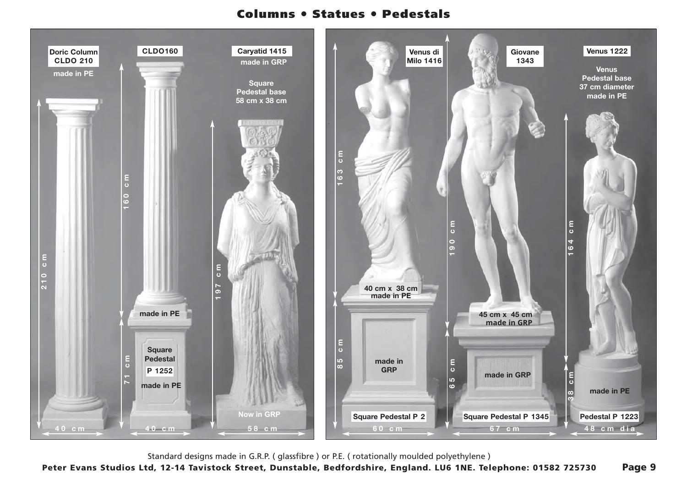## **Columns** ● **Statues** ● **Pedestals**



Standard designs made in G.R.P. ( glassfibre ) or P.E. ( rotationally moulded polyethylene )

**Peter Evans Studios Ltd, 12-14 Tavistock Street, Dunstable, Bedfordshire, England. LU6 1NE. Telephone: 01582 725730 Page 9**